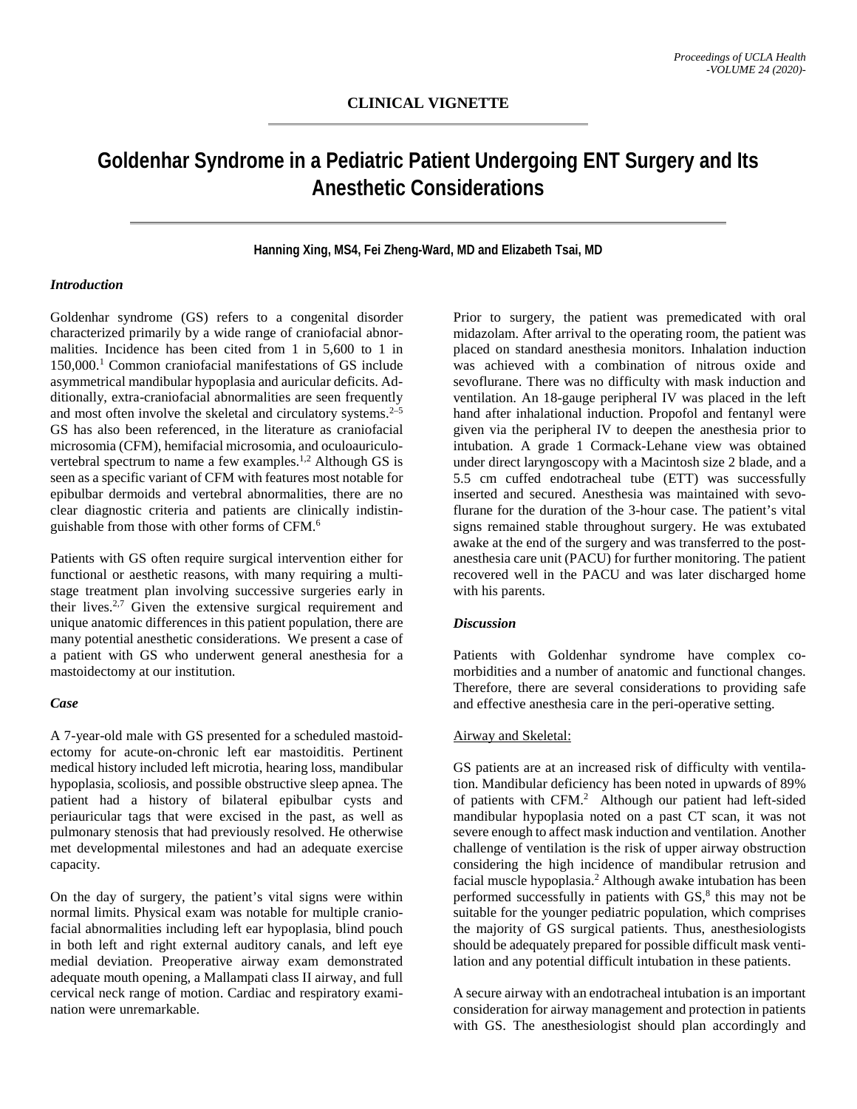# **Goldenhar Syndrome in a Pediatric Patient Undergoing ENT Surgery and Its Anesthetic Considerations**

# **Hanning Xing, MS4, Fei Zheng-Ward, MD and Elizabeth Tsai, MD**

# *Introduction*

Goldenhar syndrome (GS) refers to a congenital disorder characterized primarily by a wide range of craniofacial abnormalities. Incidence has been cited from 1 in 5,600 to 1 in 150,000.1 Common craniofacial manifestations of GS include asymmetrical mandibular hypoplasia and auricular deficits. Additionally, extra-craniofacial abnormalities are seen frequently and most often involve the skeletal and circulatory systems.<sup>2-5</sup> GS has also been referenced, in the literature as craniofacial microsomia (CFM), hemifacial microsomia, and oculoauriculovertebral spectrum to name a few examples.<sup>1,2</sup> Although GS is seen as a specific variant of CFM with features most notable for epibulbar dermoids and vertebral abnormalities, there are no clear diagnostic criteria and patients are clinically indistinguishable from those with other forms of CFM.6

Patients with GS often require surgical intervention either for functional or aesthetic reasons, with many requiring a multistage treatment plan involving successive surgeries early in their lives.<sup>2,7</sup> Given the extensive surgical requirement and unique anatomic differences in this patient population, there are many potential anesthetic considerations. We present a case of a patient with GS who underwent general anesthesia for a mastoidectomy at our institution.

#### *Case*

A 7-year-old male with GS presented for a scheduled mastoidectomy for acute-on-chronic left ear mastoiditis. Pertinent medical history included left microtia, hearing loss, mandibular hypoplasia, scoliosis, and possible obstructive sleep apnea. The patient had a history of bilateral epibulbar cysts and periauricular tags that were excised in the past, as well as pulmonary stenosis that had previously resolved. He otherwise met developmental milestones and had an adequate exercise capacity.

On the day of surgery, the patient's vital signs were within normal limits. Physical exam was notable for multiple craniofacial abnormalities including left ear hypoplasia, blind pouch in both left and right external auditory canals, and left eye medial deviation. Preoperative airway exam demonstrated adequate mouth opening, a Mallampati class II airway, and full cervical neck range of motion. Cardiac and respiratory examination were unremarkable.

Prior to surgery, the patient was premedicated with oral midazolam. After arrival to the operating room, the patient was placed on standard anesthesia monitors. Inhalation induction was achieved with a combination of nitrous oxide and sevoflurane. There was no difficulty with mask induction and ventilation. An 18-gauge peripheral IV was placed in the left hand after inhalational induction. Propofol and fentanyl were given via the peripheral IV to deepen the anesthesia prior to intubation. A grade 1 Cormack-Lehane view was obtained under direct laryngoscopy with a Macintosh size 2 blade, and a 5.5 cm cuffed endotracheal tube (ETT) was successfully inserted and secured. Anesthesia was maintained with sevoflurane for the duration of the 3-hour case. The patient's vital signs remained stable throughout surgery. He was extubated awake at the end of the surgery and was transferred to the postanesthesia care unit (PACU) for further monitoring. The patient recovered well in the PACU and was later discharged home with his parents.

#### *Discussion*

Patients with Goldenhar syndrome have complex comorbidities and a number of anatomic and functional changes. Therefore, there are several considerations to providing safe and effective anesthesia care in the peri-operative setting.

#### Airway and Skeletal:

GS patients are at an increased risk of difficulty with ventilation. Mandibular deficiency has been noted in upwards of 89% of patients with CFM.<sup>2</sup> Although our patient had left-sided mandibular hypoplasia noted on a past CT scan, it was not severe enough to affect mask induction and ventilation. Another challenge of ventilation is the risk of upper airway obstruction considering the high incidence of mandibular retrusion and facial muscle hypoplasia.<sup>2</sup> Although awake intubation has been performed successfully in patients with  $GS<sub>1</sub><sup>8</sup>$  this may not be suitable for the younger pediatric population, which comprises the majority of GS surgical patients. Thus, anesthesiologists should be adequately prepared for possible difficult mask ventilation and any potential difficult intubation in these patients.

A secure airway with an endotracheal intubation is an important consideration for airway management and protection in patients with GS. The anesthesiologist should plan accordingly and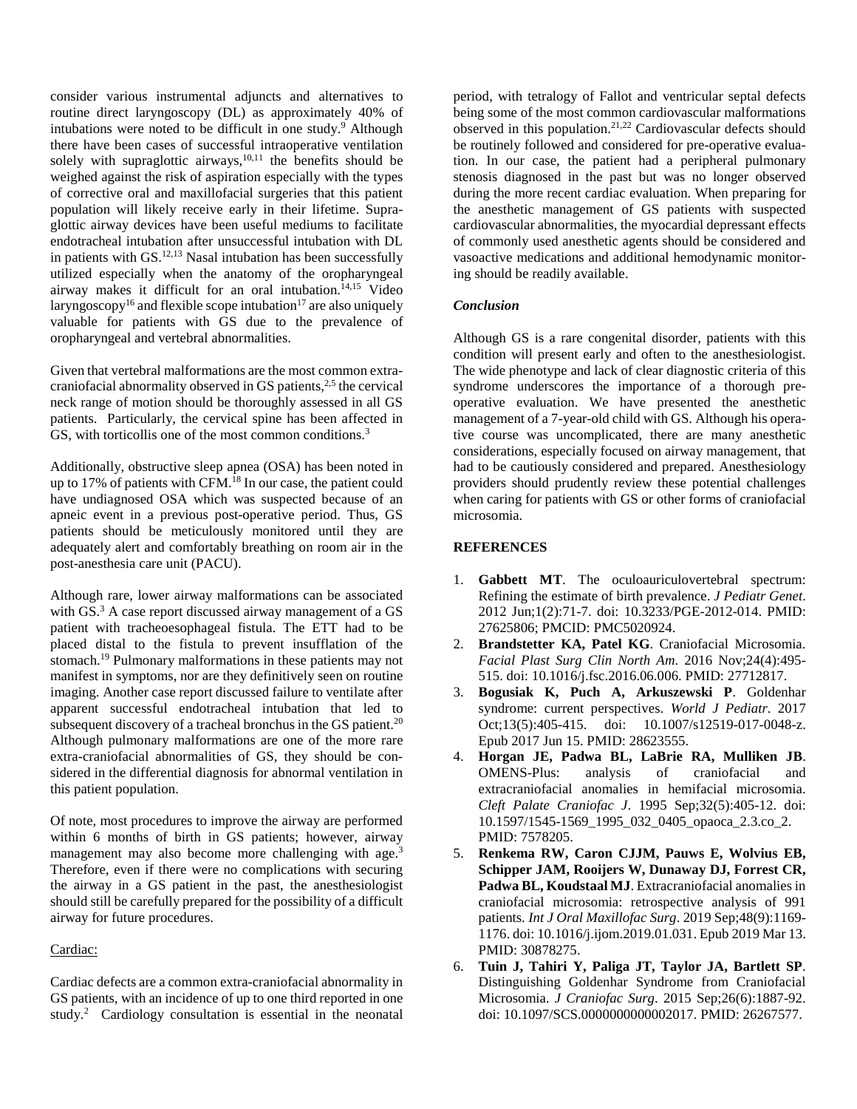consider various instrumental adjuncts and alternatives to routine direct laryngoscopy (DL) as approximately 40% of intubations were noted to be difficult in one study.<sup>9</sup> Although there have been cases of successful intraoperative ventilation solely with supraglottic airways, $10,11$  the benefits should be weighed against the risk of aspiration especially with the types of corrective oral and maxillofacial surgeries that this patient population will likely receive early in their lifetime. Supraglottic airway devices have been useful mediums to facilitate endotracheal intubation after unsuccessful intubation with DL in patients with  $GS$ .<sup>12,13</sup> Nasal intubation has been successfully utilized especially when the anatomy of the oropharyngeal airway makes it difficult for an oral intubation.<sup>14,15</sup> Video laryngoscopy<sup>16</sup> and flexible scope intubation<sup>17</sup> are also uniquely valuable for patients with GS due to the prevalence of oropharyngeal and vertebral abnormalities.

Given that vertebral malformations are the most common extracraniofacial abnormality observed in GS patients,<sup>2,5</sup> the cervical neck range of motion should be thoroughly assessed in all GS patients. Particularly, the cervical spine has been affected in GS, with torticollis one of the most common conditions.<sup>3</sup>

Additionally, obstructive sleep apnea (OSA) has been noted in up to 17% of patients with CFM. <sup>18</sup> In our case, the patient could have undiagnosed OSA which was suspected because of an apneic event in a previous post-operative period. Thus, GS patients should be meticulously monitored until they are adequately alert and comfortably breathing on room air in the post-anesthesia care unit (PACU).

Although rare, lower airway malformations can be associated with GS.<sup>3</sup> A case report discussed airway management of a GS patient with tracheoesophageal fistula. The ETT had to be placed distal to the fistula to prevent insufflation of the stomach. <sup>19</sup> Pulmonary malformations in these patients may not manifest in symptoms, nor are they definitively seen on routine imaging. Another case report discussed failure to ventilate after apparent successful endotracheal intubation that led to subsequent discovery of a tracheal bronchus in the GS patient. $20$ Although pulmonary malformations are one of the more rare extra-craniofacial abnormalities of GS, they should be considered in the differential diagnosis for abnormal ventilation in this patient population.

Of note, most procedures to improve the airway are performed within 6 months of birth in GS patients; however, airway management may also become more challenging with age.<sup>3</sup> Therefore, even if there were no complications with securing the airway in a GS patient in the past, the anesthesiologist should still be carefully prepared for the possibility of a difficult airway for future procedures.

#### Cardiac:

Cardiac defects are a common extra-craniofacial abnormality in GS patients, with an incidence of up to one third reported in one study. <sup>2</sup> Cardiology consultation is essential in the neonatal

period, with tetralogy of Fallot and ventricular septal defects being some of the most common cardiovascular malformations observed in this population.<sup>21,22</sup> Cardiovascular defects should be routinely followed and considered for pre-operative evaluation. In our case, the patient had a peripheral pulmonary stenosis diagnosed in the past but was no longer observed during the more recent cardiac evaluation. When preparing for the anesthetic management of GS patients with suspected cardiovascular abnormalities, the myocardial depressant effects of commonly used anesthetic agents should be considered and vasoactive medications and additional hemodynamic monitoring should be readily available.

## *Conclusion*

Although GS is a rare congenital disorder, patients with this condition will present early and often to the anesthesiologist. The wide phenotype and lack of clear diagnostic criteria of this syndrome underscores the importance of a thorough preoperative evaluation. We have presented the anesthetic management of a 7-year-old child with GS. Although his operative course was uncomplicated, there are many anesthetic considerations, especially focused on airway management, that had to be cautiously considered and prepared. Anesthesiology providers should prudently review these potential challenges when caring for patients with GS or other forms of craniofacial microsomia.

# **REFERENCES**

- 1. **Gabbett MT**. The oculoauriculovertebral spectrum: Refining the estimate of birth prevalence. *J Pediatr Genet*. 2012 Jun;1(2):71-7. doi: 10.3233/PGE-2012-014. PMID: 27625806; PMCID: PMC5020924.
- 2. **Brandstetter KA, Patel KG**. Craniofacial Microsomia. *Facial Plast Surg Clin North Am*. 2016 Nov;24(4):495- 515. doi: 10.1016/j.fsc.2016.06.006. PMID: 27712817.
- 3. **Bogusiak K, Puch A, Arkuszewski P**. Goldenhar syndrome: current perspectives. *World J Pediatr*. 2017 Oct;13(5):405-415. doi: 10.1007/s12519-017-0048-z. Epub 2017 Jun 15. PMID: 28623555.
- 4. **Horgan JE, Padwa BL, LaBrie RA, Mulliken JB**. OMENS-Plus: analysis of craniofacial and extracraniofacial anomalies in hemifacial microsomia. *Cleft Palate Craniofac J*. 1995 Sep;32(5):405-12. doi: 10.1597/1545-1569\_1995\_032\_0405\_opaoca\_2.3.co\_2. PMID: 7578205.
- 5. **Renkema RW, Caron CJJM, Pauws E, Wolvius EB, Schipper JAM, Rooijers W, Dunaway DJ, Forrest CR, Padwa BL, Koudstaal MJ**. Extracraniofacial anomalies in craniofacial microsomia: retrospective analysis of 991 patients. *Int J Oral Maxillofac Surg*. 2019 Sep;48(9):1169- 1176. doi: 10.1016/j.ijom.2019.01.031. Epub 2019 Mar 13. PMID: 30878275.
- 6. **Tuin J, Tahiri Y, Paliga JT, Taylor JA, Bartlett SP**. Distinguishing Goldenhar Syndrome from Craniofacial Microsomia. *J Craniofac Surg*. 2015 Sep;26(6):1887-92. doi: 10.1097/SCS.0000000000002017. PMID: 26267577.